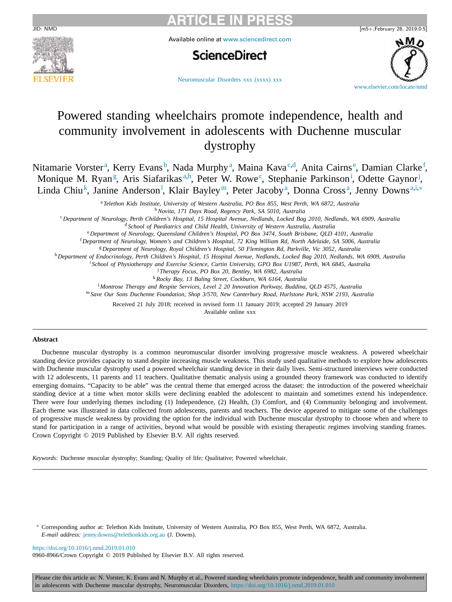

Available online at [www.sciencedirect.com](http://www.sciencedirect.com)

# **ScienceDirect**



[Neuromuscular](https://doi.org/10.1016/j.nmd.2019.01.010) Disorders xxx (xxxx) xxx

# Powered standing wheelchairs promote independence, health and community involvement in adolescents with Duchenne muscular dystrophy

Nitamarie Vorster<sup>a</sup>, Kerry Evans<sup>b</sup>, Nada Murphy<sup>a</sup>, Maina Kava<sup>c,d</sup>, Anita Cairns<sup>e</sup>, Damian Clarke<sup>f</sup>, Monique M. Ryan<sup>g</sup>, Aris Siafarikas<sup>a,h</sup>, Peter W. Rowe<sup>c</sup>, Stephanie Parkinson<sup>i</sup>, Odette Gaynor<sup>j</sup>, Linda Chiu<sup>k</sup>, Janine Anderson<sup>1</sup>, Klair Bayley<sup>m</sup>, Peter Jacoby<sup>a</sup>, Donna Cross<sup>a</sup>, Jenny Downs<sup>a,i,\*</sup>

<sup>a</sup> *Telethon Kids Institute, University of Western Australia, PO Box 855, West Perth, WA 6872, Australia*

<sup>b</sup>*Novita, 171 Days Road, Regency Park, SA 5010, Australia*

<sup>c</sup> Department of Neurology, Perth Children's Hospital, 15 Hospital Avenue, Nedlands, Locked Bag 2010, Nedlands, WA 6909, Australia

<sup>d</sup> *School of Paediatrics and Child Health, University of Western Australia, Australia*

<sup>e</sup> *Department of Neurology, Queensland Children's Hospital, PO Box 3474, South Brisbane, QLD 4101, Australia*

<sup>f</sup> Department of Neurology, Women's and Children's Hospital, 72 King William Rd, North Adelaide, SA 5006, Australia

<sup>g</sup> *Department of Neurology, Royal Children's Hospital, 50 Flemington Rd, Parkville, Vic 3052, Australia*

h Department of Endocrinology, Perth Children's Hospital, 15 Hospital Avenue, Nedlands, Locked Bag 2010, Nedlands, WA 6909, Australia

i *School of Physiotherapy and Exercise Science, Curtin University, GPO Box U1987, Perth, WA 6845, Australia*

j *Therapy Focus, PO Box 20, Bentley, WA 6982, Australia*

<sup>k</sup>*Rocky Bay, 13 Baling Street, Cockburn, WA 6164, Australia*

l *Montrose Therapy and Respite Services, Level 2 20 Innovation Parkway, Buddina, QLD 4575, Australia*

<sup>m</sup> *Save Our Sons Duchenne Foundation, Shop 3/570, New Canterbury Road, Hurlstone Park, NSW 2193, Australia*

Received 21 July 2018; received in revised form 11 January 2019; accepted 29 January 2019

Available online xxx

#### **Abstract**

Duchenne muscular dystrophy is a common neuromuscular disorder involving progressive muscle weakness. A powered wheelchair standing device provides capacity to stand despite increasing muscle weakness. This study used qualitative methods to explore how adolescents with Duchenne muscular dystrophy used a powered wheelchair standing device in their daily lives. Semi-structured interviews were conducted with 12 adolescents, 11 parents and 11 teachers. Qualitative thematic analysis using a grounded theory framework was conducted to identify emerging domains. "Capacity to be able" was the central theme that emerged across the dataset: the introduction of the powered wheelchair standing device at a time when motor skills were declining enabled the adolescent to maintain and sometimes extend his independence. There were four underlying themes including (1) Independence, (2) Health, (3) Comfort, and (4) Community belonging and involvement. Each theme was illustrated in data collected from adolescents, parents and teachers. The device appeared to mitigate some of the challenges of progressive muscle weakness by providing the option for the individual with Duchenne muscular dystrophy to choose when and where to stand for participation in a range of activities, beyond what would be possible with existing therapeutic regimes involving standing frames. Crown Copyright © 2019 Published by Elsevier B.V. All rights reserved.

*Keywords:* Duchenne muscular dystrophy; Standing; Quality of life; Qualitative; Powered wheelchair.

∗ Corresponding author at: Telethon Kids Institute, University of Western Australia, PO Box 855, West Perth, WA 6872, Australia. *E-mail address:* [jenny.downs@telethonkids.org.au](mailto:jenny.downs@telethonkids.org.au) (J. Downs).

<https://doi.org/10.1016/j.nmd.2019.01.010>

0960-8966/Crown Copyright © 2019 Published by Elsevier B.V. All rights reserved.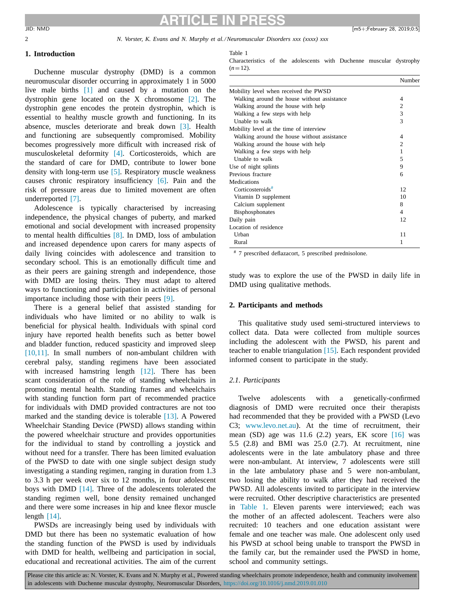## 2 *N. Vorster, K. Evans and N. Murphy et al./Neuromuscular Disorders xxx (xxxx) xxx*

## **1. Introduction**

Duchenne muscular dystrophy (DMD) is a common neuromuscular disorder occurring in approximately 1 in 5000 live male births [\[1\]](#page-8-0) and caused by a mutation on the dystrophin gene located on the X chromosome [\[2\].](#page-8-0) The dystrophin gene encodes the protein dystrophin, which is essential to healthy muscle growth and functioning. In its absence, muscles deteriorate and break down [\[3\].](#page-8-0) Health and functioning are subsequently compromised. Mobility becomes progressively more difficult with increased risk of musculoskeletal deformity [\[4\].](#page-8-0) Corticosteroids, which are the standard of care for DMD, contribute to lower bone density with long-term use [\[5\].](#page-8-0) Respiratory muscle weakness causes chronic respiratory insufficiency [\[6\].](#page-8-0) Pain and the risk of pressure areas due to limited movement are often underreported [\[7\].](#page-8-0)

Adolescence is typically characterised by increasing independence, the physical changes of puberty, and marked emotional and social development with increased propensity to mental health difficulties [\[8\].](#page-8-0) In DMD, loss of ambulation and increased dependence upon carers for many aspects of daily living coincides with adolescence and transition to secondary school. This is an emotionally difficult time and as their peers are gaining strength and independence, those with DMD are losing theirs. They must adapt to altered ways to functioning and participation in activities of personal importance including those with their peers [\[9\].](#page-8-0)

There is a general belief that assisted standing for individuals who have limited or no ability to walk is beneficial for physical health. Individuals with spinal cord injury have reported health benefits such as better bowel and bladder function, reduced spasticity and improved sleep [\[10,11\].](#page-8-0) In small numbers of non-ambulant children with cerebral palsy, standing regimens have been associated with increased hamstring length [\[12\].](#page-8-0) There has been scant consideration of the role of standing wheelchairs in promoting mental health. Standing frames and wheelchairs with standing function form part of recommended practice for individuals with DMD provided contractures are not too marked and the standing device is tolerable [\[13\].](#page-8-0) A Powered Wheelchair Standing Device (PWSD) allows standing within the powered wheelchair structure and provides opportunities for the individual to stand by controlling a joystick and without need for a transfer. There has been limited evaluation of the PWSD to date with one single subject design study investigating a standing regimen, ranging in duration from 1.3 to 3.3 h per week over six to 12 months, in four adolescent boys with DMD [\[14\].](#page-8-0) Three of the adolescents tolerated the standing regimen well, bone density remained unchanged and there were some increases in hip and knee flexor muscle length [\[14\].](#page-8-0)

PWSDs are increasingly being used by individuals with DMD but there has been no systematic evaluation of how the standing function of the PWSD is used by individuals with DMD for health, wellbeing and participation in social, educational and recreational activities. The aim of the current Table 1

Characteristics of the adolescents with Duchenne muscular dystrophy  $(n=12)$ .

|                                             | Number         |
|---------------------------------------------|----------------|
| Mobility level when received the PWSD       |                |
| Walking around the house without assistance | 4              |
| Walking around the house with help          | $\overline{c}$ |
| Walking a few steps with help               | 3              |
| Unable to walk                              | 3              |
| Mobility level at the time of interview     |                |
| Walking around the house without assistance | 4              |
| Walking around the house with help          | $\overline{c}$ |
| Walking a few steps with help               | 1              |
| Unable to walk                              | 5              |
| Use of night splints                        | 9              |
| Previous fracture                           | 6              |
| Medications                                 |                |
| Corticosteroids <sup>#</sup>                | 12             |
| Vitamin D supplement                        | 10             |
| Calcium supplement                          | 8              |
| <b>Bisphosphonates</b>                      | 4              |
| Daily pain                                  | 12             |
| Location of residence                       |                |
| Urban                                       | 11             |
| Rural                                       | 1              |

# 7 prescribed deflazacort, 5 prescribed prednisolone.

study was to explore the use of the PWSD in daily life in DMD using qualitative methods.

## **2. Participants and methods**

This qualitative study used semi-structured interviews to collect data. Data were collected from multiple sources including the adolescent with the PWSD, his parent and teacher to enable triangulation [\[15\].](#page-8-0) Each respondent provided informed consent to participate in the study.

## *2.1. Participants*

Twelve adolescents with a genetically-confirmed diagnosis of DMD were recruited once their therapists had recommended that they be provided with a PWSD (Levo C3; [www.levo.net.au\)](https://www.levo.net.au). At the time of recruitment, their mean (SD) age was 11.6 (2.2) years, EK score [\[16\]](#page-8-0) was 5.5 (2.8) and BMI was 25.0 (2.7). At recruitment, nine adolescents were in the late ambulatory phase and three were non-ambulant. At interview, 7 adolescents were still in the late ambulatory phase and 5 were non-ambulant, two losing the ability to walk after they had received the PWSD. All adolescents invited to participate in the interview were recruited. Other descriptive characteristics are presented in Table 1. Eleven parents were interviewed; each was the mother of an affected adolescent. Teachers were also recruited: 10 teachers and one education assistant were female and one teacher was male. One adolescent only used his PWSD at school being unable to transport the PWSD in the family car, but the remainder used the PWSD in home, school and community settings.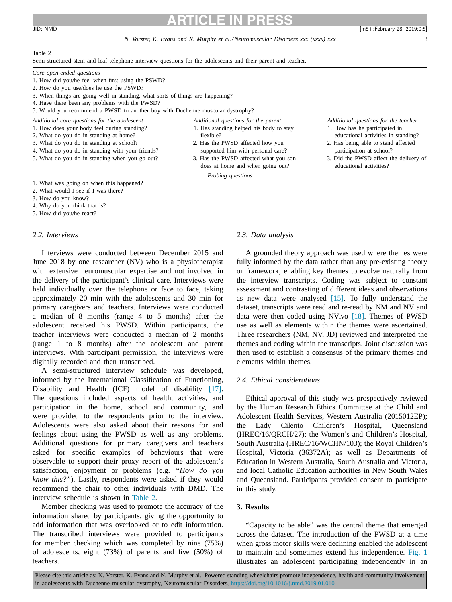## *N. Vorster, K. Evans and N. Murphy et al./Neuromuscular Disorders xxx (xxxx) xxx* 3

1. Has standing helped his body to stay

2. Has the PWSD affected how you supported him with personal care? 3. Has the PWSD affected what you son does at home and when going out?

*Probing questions*

flexible?

#### Table 2

Semi-structured stem and leaf telephone interview questions for the adolescents and their parent and teacher.

- *Core open-ended questions*
- 1. How did you/he feel when first using the PSWD?
- 2. How do you use/does he use the PSWD?
- 3. When things are going well in standing, what sorts of things are happening?
- 4. Have there been any problems with the PWSD?

5. Would you recommend a PWSD to another boy with Duchenne muscular dystrophy?

- Additional core questions for the adolescent Additional questions for the parent Additional questions for the teacher
- 1. How does your body feel during standing?
- 2. What do you do in standing at home?
- 3. What do you do in standing at school?
- 4. What do you do in standing with your friends?
- 5. What do you do in standing when you go out?
- 
- -

1. What was going on when this happened?

- 2. What would I see if I was there?
- 3. How do you know?

4. Why do you think that is?

5. How did you/he react?

## *2.2. Interviews*

Interviews were conducted between December 2015 and June 2018 by one researcher (NV) who is a physiotherapist with extensive neuromuscular expertise and not involved in the delivery of the participant's clinical care. Interviews were held individually over the telephone or face to face, taking approximately 20 min with the adolescents and 30 min for primary caregivers and teachers. Interviews were conducted a median of 8 months (range 4 to 5 months) after the adolescent received his PWSD. Within participants, the teacher interviews were conducted a median of 2 months (range 1 to 8 months) after the adolescent and parent interviews. With participant permission, the interviews were digitally recorded and then transcribed.

A semi-structured interview schedule was developed, informed by the International Classification of Functioning, Disability and Health (ICF) model of disability [\[17\].](#page-8-0) The questions included aspects of health, activities, and participation in the home, school and community, and were provided to the respondents prior to the interview. Adolescents were also asked about their reasons for and feelings about using the PWSD as well as any problems. Additional questions for primary caregivers and teachers asked for specific examples of behaviours that were observable to support their proxy report of the adolescent's satisfaction, enjoyment or problems (e.g. *"How do you know this?"*). Lastly, respondents were asked if they would recommend the chair to other individuals with DMD. The interview schedule is shown in Table 2.

Member checking was used to promote the accuracy of the information shared by participants, giving the opportunity to add information that was overlooked or to edit information. The transcribed interviews were provided to participants for member checking which was completed by nine (75%) of adolescents, eight (73%) of parents and five (50%) of teachers.

## *2.3. Data analysis*

A grounded theory approach was used where themes were fully informed by the data rather than any pre-existing theory or framework, enabling key themes to evolve naturally from the interview transcripts. Coding was subject to constant assessment and contrasting of different ideas and observations as new data were analysed [\[15\].](#page-8-0) To fully understand the dataset, transcripts were read and re-read by NM and NV and data were then coded using NVivo [\[18\].](#page-8-0) Themes of PWSD use as well as elements within the themes were ascertained. Three researchers (NM, NV, JD) reviewed and interpreted the themes and coding within the transcripts. Joint discussion was then used to establish a consensus of the primary themes and elements within themes.

## *2.4. Ethical considerations*

Ethical approval of this study was prospectively reviewed by the Human Research Ethics Committee at the Child and Adolescent Health Services, Western Australia (2015012EP); the Lady Cilento Children's Hospital, Queensland (HREC/16/QRCH/27); the Women's and Children's Hospital, South Australia (HREC/16/WCHN/103); the Royal Children's Hospital, Victoria (36372A); as well as Departments of Education in Western Australia, South Australia and Victoria, and local Catholic Education authorities in New South Wales and Queensland. Participants provided consent to participate in this study.

## **3. Results**

"Capacity to be able" was the central theme that emerged across the dataset. The introduction of the PWSD at a time when gross motor skills were declining enabled the adolescent to maintain and sometimes extend his independence. [Fig.](#page-3-0) 1 illustrates an adolescent participating independently in an

- 1. How has he participated in educational activities in standing?
- 2. Has being able to stand affected participation at school?
- 3. Did the PWSD affect the delivery of educational activities?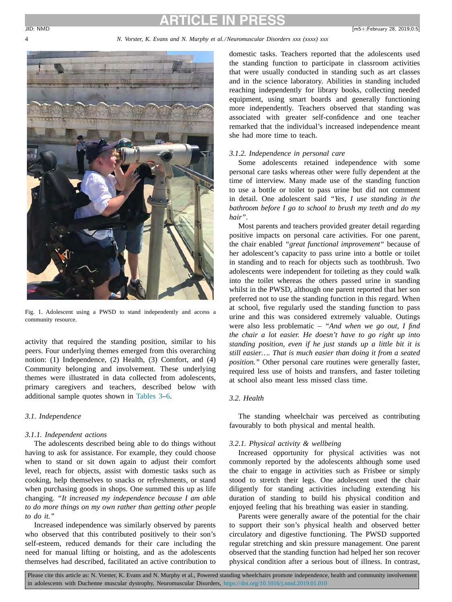## <span id="page-3-0"></span>4 *N. Vorster, K. Evans and N. Murphy et al./Neuromuscular Disorders xxx (xxxx) xxx*



Fig. 1. Adolescent using a PWSD to stand independently and access a community resource.

activity that required the standing position, similar to his peers. Four underlying themes emerged from this overarching notion: (1) Independence, (2) Health, (3) Comfort, and (4) Community belonging and involvement. These underlying themes were illustrated in data collected from adolescents, primary caregivers and teachers, described below with additional sample quotes shown in [Tables](#page-4-0) 3[–6.](#page-5-0)

## *3.1. Independence*

## *3.1.1. Independent actions*

The adolescents described being able to do things without having to ask for assistance. For example, they could choose when to stand or sit down again to adjust their comfort level, reach for objects, assist with domestic tasks such as cooking, help themselves to snacks or refreshments, or stand when purchasing goods in shops. One summed this up as life changing. *"It increased my independence because I am able to do more things on my own rather than getting other people to do it."*

Increased independence was similarly observed by parents who observed that this contributed positively to their son's self-esteem, reduced demands for their care including the need for manual lifting or hoisting, and as the adolescents themselves had described, facilitated an active contribution to domestic tasks. Teachers reported that the adolescents used the standing function to participate in classroom activities that were usually conducted in standing such as art classes and in the science laboratory. Abilities in standing included reaching independently for library books, collecting needed equipment, using smart boards and generally functioning more independently. Teachers observed that standing was associated with greater self-confidence and one teacher remarked that the individual's increased independence meant she had more time to teach.

## *3.1.2. Independence in personal care*

Some adolescents retained independence with some personal care tasks whereas other were fully dependent at the time of interview. Many made use of the standing function to use a bottle or toilet to pass urine but did not comment in detail. One adolescent said *"Yes, I use standing in the bathroom before I go to school to brush my teeth and do my hair"*.

Most parents and teachers provided greater detail regarding positive impacts on personal care activities. For one parent, the chair enabled *"great functional improvement"* because of her adolescent's capacity to pass urine into a bottle or toilet in standing and to reach for objects such as toothbrush. Two adolescents were independent for toileting as they could walk into the toilet whereas the others passed urine in standing whilst in the PWSD, although one parent reported that her son preferred not to use the standing function in this regard. When at school, five regularly used the standing function to pass urine and this was considered extremely valuable. Outings were also less problematic – *"And when we go out, I find the chair a lot easier. He doesn't have to go right up into standing position, even if he just stands up a little bit it is still easier…. That is much easier than doing it from a seated position."* Other personal care routines were generally faster, required less use of hoists and transfers, and faster toileting at school also meant less missed class time.

## *3.2. Health*

The standing wheelchair was perceived as contributing favourably to both physical and mental health.

## *3.2.1. Physical activity & wellbeing*

Increased opportunity for physical activities was not commonly reported by the adolescents although some used the chair to engage in activities such as Frisbee or simply stood to stretch their legs. One adolescent used the chair diligently for standing activities including extending his duration of standing to build his physical condition and enjoyed feeling that his breathing was easier in standing.

Parents were generally aware of the potential for the chair to support their son's physical health and observed better circulatory and digestive functioning. The PWSD supported regular stretching and skin pressure management. One parent observed that the standing function had helped her son recover physical condition after a serious bout of illness. In contrast,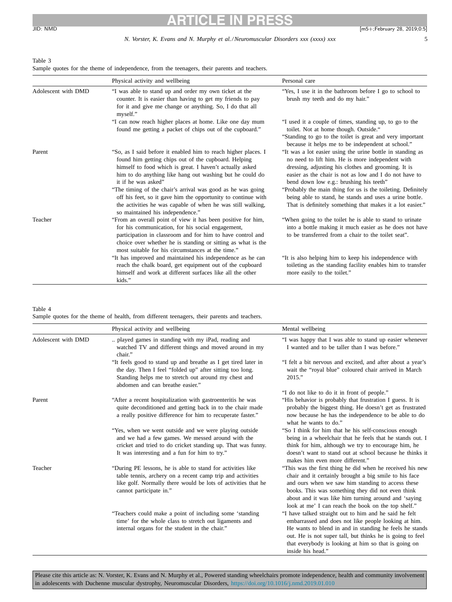## <span id="page-4-0"></span>Table 3

Sample quotes for the theme of independence, from the teenagers, their parents and teachers.

|                     | Physical activity and wellbeing                                                                                                                                                                                                                                                                                                                                                                                                                                      | Personal care                                                                                                                                                                                                                                                                                                                                                                                                                                                      |
|---------------------|----------------------------------------------------------------------------------------------------------------------------------------------------------------------------------------------------------------------------------------------------------------------------------------------------------------------------------------------------------------------------------------------------------------------------------------------------------------------|--------------------------------------------------------------------------------------------------------------------------------------------------------------------------------------------------------------------------------------------------------------------------------------------------------------------------------------------------------------------------------------------------------------------------------------------------------------------|
| Adolescent with DMD | "I was able to stand up and order my own ticket at the<br>counter. It is easier than having to get my friends to pay<br>for it and give me change or anything. So, I do that all<br>myself."                                                                                                                                                                                                                                                                         | "Yes, I use it in the bathroom before I go to school to<br>brush my teeth and do my hair."                                                                                                                                                                                                                                                                                                                                                                         |
|                     | "I can now reach higher places at home. Like one day mum<br>found me getting a packet of chips out of the cupboard."                                                                                                                                                                                                                                                                                                                                                 | "I used it a couple of times, standing up, to go to the<br>toilet. Not at home though. Outside."<br>"Standing to go to the toilet is great and very important<br>because it helps me to be independent at school."                                                                                                                                                                                                                                                 |
| Parent              | "So, as I said before it enabled him to reach higher places. I<br>found him getting chips out of the cupboard. Helping<br>himself to food which is great. I haven't actually asked<br>him to do anything like hang out washing but he could do<br>it if he was asked"<br>"The timing of the chair's arrival was good as he was going<br>off his feet, so it gave him the opportunity to continue with<br>the activities he was capable of when he was still walking, | "It was a lot easier using the urine bottle in standing as<br>no need to lift him. He is more independent with<br>dressing, adjusting his clothes and grooming. It is<br>easier as the chair is not as low and I do not have to<br>bend down low e.g.: brushing his teeth"<br>"Probably the main thing for us is the toileting. Definitely<br>being able to stand, he stands and uses a urine bottle.<br>That is definitely something that makes it a lot easier." |
| Teacher             | so maintained his independence."<br>"From an overall point of view it has been positive for him,<br>for his communication, for his social engagement,<br>participation in classroom and for him to have control and<br>choice over whether he is standing or sitting as what is the<br>most suitable for his circumstances at the time."                                                                                                                             | "When going to the toilet he is able to stand to urinate<br>into a bottle making it much easier as he does not have<br>to be transferred from a chair to the toilet seat".                                                                                                                                                                                                                                                                                         |
|                     | "It has improved and maintained his independence as he can<br>reach the chalk board, get equipment out of the cupboard<br>himself and work at different surfaces like all the other<br>kids."                                                                                                                                                                                                                                                                        | "It is also helping him to keep his independence with<br>toileting as the standing facility enables him to transfer<br>more easily to the toilet."                                                                                                                                                                                                                                                                                                                 |

#### Table 4

Sample quotes for the theme of health, from different teenagers, their parents and teachers.

|                     | Physical activity and wellbeing                                                                                                                                                                                              | Mental wellbeing                                                                                                                                                                                                                                                                                                                             |
|---------------------|------------------------------------------------------------------------------------------------------------------------------------------------------------------------------------------------------------------------------|----------------------------------------------------------------------------------------------------------------------------------------------------------------------------------------------------------------------------------------------------------------------------------------------------------------------------------------------|
| Adolescent with DMD | played games in standing with my iPad, reading and<br>watched TV and different things and moved around in my<br>chair."                                                                                                      | "I was happy that I was able to stand up easier whenever<br>I wanted and to be taller than I was before."                                                                                                                                                                                                                                    |
|                     | "It feels good to stand up and breathe as I get tired later in<br>the day. Then I feel "folded up" after sitting too long.<br>Standing helps me to stretch out around my chest and<br>abdomen and can breathe easier."       | "I felt a bit nervous and excited, and after about a year's<br>wait the "royal blue" coloured chair arrived in March<br>2015."                                                                                                                                                                                                               |
|                     |                                                                                                                                                                                                                              | "I do not like to do it in front of people."                                                                                                                                                                                                                                                                                                 |
| Parent              | "After a recent hospitalization with gastroenteritis he was<br>quite deconditioned and getting back in to the chair made<br>a really positive difference for him to recuperate faster."                                      | "His behavior is probably that frustration I guess. It is<br>probably the biggest thing. He doesn't get as frustrated<br>now because he has the independence to be able to do<br>what he wants to do."                                                                                                                                       |
|                     | "Yes, when we went outside and we were playing outside<br>and we had a few games. We messed around with the<br>cricket and tried to do cricket standing up. That was funny.<br>It was interesting and a fun for him to try." | "So I think for him that he his self-conscious enough<br>being in a wheelchair that he feels that he stands out. I<br>think for him, although we try to encourage him, he<br>doesn't want to stand out at school because he thinks it<br>makes him even more different."                                                                     |
| Teacher             | "During PE lessons, he is able to stand for activities like<br>table tennis, archery on a recent camp trip and activities<br>like golf. Normally there would be lots of activities that he<br>cannot participate in."        | "This was the first thing he did when he received his new<br>chair and it certainly brought a big smile to his face<br>and ours when we saw him standing to access these<br>books. This was something they did not even think<br>about and it was like him turning around and 'saying<br>look at me' I can reach the book on the top shelf." |
|                     | "Teachers could make a point of including some 'standing<br>time' for the whole class to stretch out ligaments and<br>internal organs for the student in the chair."                                                         | "I have talked straight out to him and he said he felt<br>embarrassed and does not like people looking at him.<br>He wants to blend in and in standing he feels he stands<br>out. He is not super tall, but thinks he is going to feel<br>that everybody is looking at him so that is going on<br>inside his head."                          |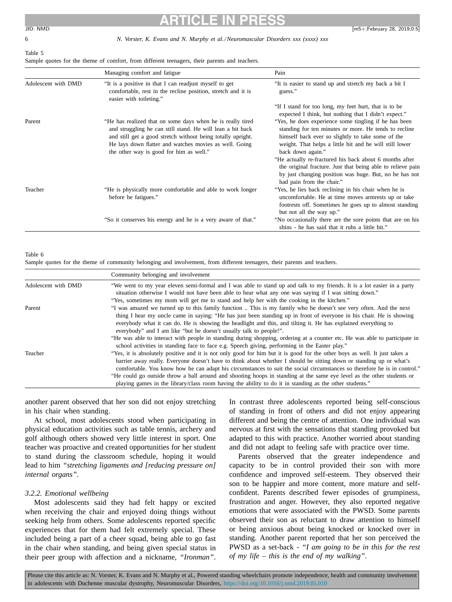6 *N. Vorster, K. Evans and N. Murphy et al./Neuromuscular Disorders xxx (xxxx) xxx*

## <span id="page-5-0"></span>**ARTICLE IN PRESS** JID: NMD [m5+;February 28, 2019;0:5]

## Table 5

| Sample quotes for the theme of comfort, from different teenagers, their parents and teachers. |  |  |  |  |  |  |
|-----------------------------------------------------------------------------------------------|--|--|--|--|--|--|
|-----------------------------------------------------------------------------------------------|--|--|--|--|--|--|

|                     | Managing comfort and fatigue                                                                                                                                                                                                                                                                 | Pain                                                                                                                                                                                                                                                                                                                                                                                                                                    |
|---------------------|----------------------------------------------------------------------------------------------------------------------------------------------------------------------------------------------------------------------------------------------------------------------------------------------|-----------------------------------------------------------------------------------------------------------------------------------------------------------------------------------------------------------------------------------------------------------------------------------------------------------------------------------------------------------------------------------------------------------------------------------------|
| Adolescent with DMD | "It is a positive in that I can readjust myself to get<br>comfortable, rest in the recline position, stretch and it is<br>easier with toileting."                                                                                                                                            | "It is easier to stand up and stretch my back a bit I<br>guess."                                                                                                                                                                                                                                                                                                                                                                        |
|                     |                                                                                                                                                                                                                                                                                              | "If I stand for too long, my feet hurt, that is to be<br>expected I think, but nothing that I didn't expect."                                                                                                                                                                                                                                                                                                                           |
| Parent              | "He has realized that on some days when he is really tired<br>and struggling he can still stand. He will lean a bit back<br>and still get a good stretch without being totally upright.<br>He lays down flatter and watches movies as well. Going<br>the other way is good for him as well." | "Yes, he does experience some tingling if he has been<br>standing for ten minutes or more. He tends to recline<br>himself back ever so slightly to take some of the<br>weight. That helps a little bit and he will still lower<br>back down again."<br>"He actually re-fractured his back about 6 months after<br>the original fracture. Just that being able to relieve pain<br>by just changing position was huge. But, no he has not |
| Teacher             | "He is physically more comfortable and able to work longer<br>before he fatigues."                                                                                                                                                                                                           | had pain from the chair."<br>"Yes, he lies back reclining in his chair when he is<br>uncomfortable. He at time moves armrests up or take<br>footrests off. Sometimes he goes up to almost standing<br>but not all the way up."                                                                                                                                                                                                          |
|                     | "So it conserves his energy and he is a very aware of that."                                                                                                                                                                                                                                 | "No occasionally there are the sore points that are on his<br>shins - he has said that it rubs a little bit."                                                                                                                                                                                                                                                                                                                           |

## Table 6

Sample quotes for the theme of community belonging and involvement, from different teenagers, their parents and teachers.

|                     | Community belonging and involvement                                                                                                                                                                                                                                                                                                                                                                                              |
|---------------------|----------------------------------------------------------------------------------------------------------------------------------------------------------------------------------------------------------------------------------------------------------------------------------------------------------------------------------------------------------------------------------------------------------------------------------|
| Adolescent with DMD | "We went to my year eleven semi-formal and I was able to stand up and talk to my friends. It is a lot easier in a party<br>situation otherwise I would not have been able to hear what any one was saying if I was sitting down."                                                                                                                                                                                                |
|                     | "Yes, sometimes my mom will get me to stand and help her with the cooking in the kitchen."                                                                                                                                                                                                                                                                                                                                       |
| Parent              | "I was amazed we turned up to this family function This is my family who he doesn't see very often. And the next<br>thing I hear my uncle came in saying: "He has just been standing up in front of everyone in his chair. He is showing<br>everybody what it can do. He is showing the headlight and this, and tilting it. He has explained everything to<br>everybody" and I am like "but he doesn't usually talk to people!". |
|                     | "He was able to interact with people in standing during shopping, ordering at a counter etc. He was able to participate in<br>school activities in standing face to face e.g. Speech giving, performing in the Easter play."                                                                                                                                                                                                     |
| Teacher             | "Yes, it is absolutely positive and it is not only good for him but it is good for the other boys as well. It just takes a<br>barrier away really. Everyone doesn't have to think about whether I should be sitting down or standing up or what's<br>comfortable. You know how he can adapt his circumstances to suit the social circumstances so therefore he is in control."                                                   |
|                     | "He could go outside throw a ball around and shooting hoops in standing at the same eye level as the other students or                                                                                                                                                                                                                                                                                                           |
|                     | playing games in the library/class room having the ability to do it in standing as the other students."                                                                                                                                                                                                                                                                                                                          |

another parent observed that her son did not enjoy stretching in his chair when standing.

At school, most adolescents stood when participating in physical education activities such as table tennis, archery and golf although others showed very little interest in sport. One teacher was proactive and created opportunities for her student to stand during the classroom schedule, hoping it would lead to him *"stretching ligaments and [reducing pressure on] internal organs"*.

## *3.2.2. Emotional wellbeing*

Most adolescents said they had felt happy or excited when receiving the chair and enjoyed doing things without seeking help from others. Some adolescents reported specific experiences that for them had felt extremely special. These included being a part of a cheer squad, being able to go fast in the chair when standing, and being given special status in their peer group with affection and a nickname, *"Ironman"*.

In contrast three adolescents reported being self-conscious of standing in front of others and did not enjoy appearing different and being the centre of attention. One individual was nervous at first with the sensations that standing provoked but adapted to this with practice. Another worried about standing and did not adapt to feeling safe with practice over time.

Parents observed that the greater independence and capacity to be in control provided their son with more confidence and improved self-esteem. They observed their son to be happier and more content, more mature and selfconfident. Parents described fewer episodes of grumpiness, frustration and anger. However, they also reported negative emotions that were associated with the PWSD. Some parents observed their son as reluctant to draw attention to himself or being anxious about being knocked or knocked over in standing. Another parent reported that her son perceived the PWSD as a set-back - *"I am going to be in this for the rest of my life – this is the end of my walking"*.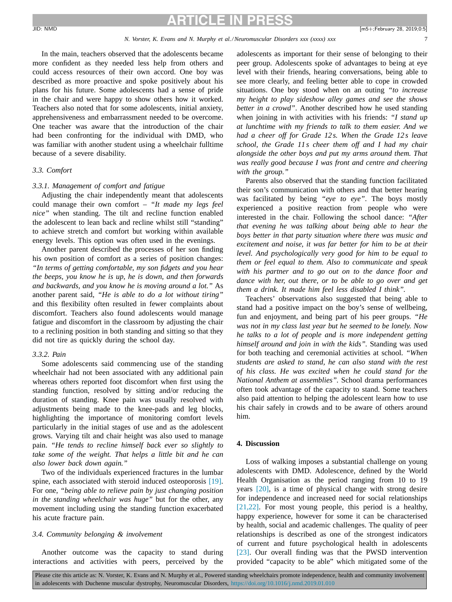### *N. Vorster, K. Evans and N. Murphy et al./Neuromuscular Disorders xxx (xxxx) xxx*

In the main, teachers observed that the adolescents became more confident as they needed less help from others and could access resources of their own accord. One boy was described as more proactive and spoke positively about his plans for his future. Some adolescents had a sense of pride in the chair and were happy to show others how it worked. Teachers also noted that for some adolescents, initial anxiety, apprehensiveness and embarrassment needed to be overcome. One teacher was aware that the introduction of the chair had been confronting for the individual with DMD, who was familiar with another student using a wheelchair fulltime because of a severe disability.

## *3.3. Comfort*

## *3.3.1. Management of comfort and fatigue*

Adjusting the chair independently meant that adolescents could manage their own comfort – *"It made my legs feel nice"* when standing. The tilt and recline function enabled the adolescent to lean back and recline whilst still "standing" to achieve stretch and comfort but working within available energy levels. This option was often used in the evenings.

Another parent described the processes of her son finding his own position of comfort as a series of position changes: *"In terms of getting comfortable, my son fidgets and you hear the beeps, you know he is up, he is down, and then forwards and backwards, and you know he is moving around a lot."* As another parent said, *"He is able to do a lot without tiring"* and this flexibility often resulted in fewer complaints about discomfort. Teachers also found adolescents would manage fatigue and discomfort in the classroom by adjusting the chair to a reclining position in both standing and sitting so that they did not tire as quickly during the school day.

#### *3.3.2. Pain*

Some adolescents said commencing use of the standing wheelchair had not been associated with any additional pain whereas others reported foot discomfort when first using the standing function, resolved by sitting and/or reducing the duration of standing. Knee pain was usually resolved with adjustments being made to the knee-pads and leg blocks, highlighting the importance of monitoring comfort levels particularly in the initial stages of use and as the adolescent grows. Varying tilt and chair height was also used to manage pain. *"He tends to recline himself back ever so slightly to take some of the weight. That helps a little bit and he can also lower back down again."*

Two of the individuals experienced fractures in the lumbar spine, each associated with steroid induced osteoporosis [\[19\].](#page-8-0) For one, *"being able to relieve pain by just changing position in the standing wheelchair was huge"* but for the other, any movement including using the standing function exacerbated his acute fracture pain.

## *3.4. Community belonging & involvement*

Another outcome was the capacity to stand during interactions and activities with peers, perceived by the adolescents as important for their sense of belonging to their peer group. Adolescents spoke of advantages to being at eye level with their friends, hearing conversations, being able to see more clearly, and feeling better able to cope in crowded situations. One boy stood when on an outing *"to increase my height to play sideshow alley games and see the shows better in a crowd"*. Another described how he used standing when joining in with activities with his friends: *"I stand up at lunchtime with my friends to talk to them easier. And we had a cheer off for Grade 12 s. When the Grade 12 s leave school, the Grade 11 s cheer them off and I had my chair alongside the other boys and put my arms around them. That was really good because I was front and centre and cheering with the group."*

Parents also observed that the standing function facilitated their son's communication with others and that better hearing was facilitated by being *"eye to eye"*. The boys mostly experienced a positive reaction from people who were interested in the chair. Following the school dance: *"After that evening he was talking about being able to hear the boys better in that party situation where there was music and excitement and noise, it was far better for him to be at their level. And psychologically very good for him to be equal to them or feel equal to them. Also to communicate and speak with his partner and to go out on to the dance floor and dance with her, out there, or to be able to go over and get them a drink. It made him feel less disabled I think".*

Teachers' observations also suggested that being able to stand had a positive impact on the boy's sense of wellbeing, fun and enjoyment, and being part of his peer groups. *"He was not in my class last year but he seemed to be lonely. Now he talks to a lot of people and is more independent getting himself around and join in with the kids".* Standing was used for both teaching and ceremonial activities at school. *"When students are asked to stand, he can also stand with the rest of his class. He was excited when he could stand for the National Anthem at assemblies".* School drama performances often took advantage of the capacity to stand. Some teachers also paid attention to helping the adolescent learn how to use his chair safely in crowds and to be aware of others around him.

## **4. Discussion**

Loss of walking imposes a substantial challenge on young adolescents with DMD. Adolescence, defined by the World Health Organisation as the period ranging from 10 to 19 years [\[20\],](#page-8-0) is a time of physical change with strong desire for independence and increased need for social relationships [\[21,22\].](#page-8-0) For most young people, this period is a healthy, happy experience, however for some it can be characterised by health, social and academic challenges. The quality of peer relationships is described as one of the strongest indicators of current and future psychological health in adolescents [\[23\].](#page-8-0) Our overall finding was that the PWSD intervention provided "capacity to be able" which mitigated some of the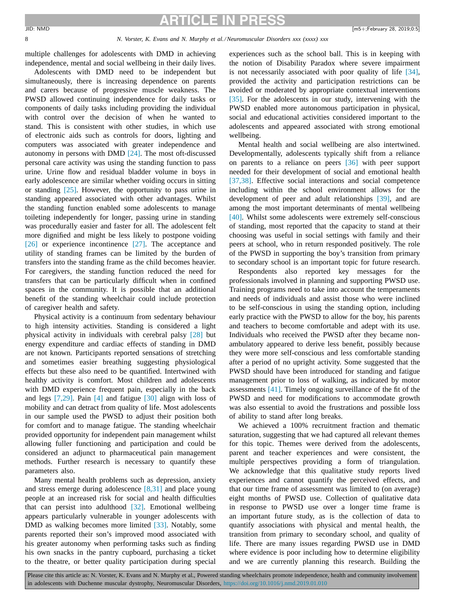### 8 *N. Vorster, K. Evans and N. Murphy et al./Neuromuscular Disorders xxx (xxxx) xxx*

multiple challenges for adolescents with DMD in achieving independence, mental and social wellbeing in their daily lives.

Adolescents with DMD need to be independent but simultaneously, there is increasing dependence on parents and carers because of progressive muscle weakness. The PWSD allowed continuing independence for daily tasks or components of daily tasks including providing the individual with control over the decision of when he wanted to stand. This is consistent with other studies, in which use of electronic aids such as controls for doors, lighting and computers was associated with greater independence and autonomy in persons with DMD [\[24\].](#page-8-0) The most oft-discussed personal care activity was using the standing function to pass urine. Urine flow and residual bladder volume in boys in early adolescence are similar whether voiding occurs in sitting or standing [\[25\].](#page-8-0) However, the opportunity to pass urine in standing appeared associated with other advantages. Whilst the standing function enabled some adolescents to manage toileting independently for longer, passing urine in standing was procedurally easier and faster for all. The adolescent felt more dignified and might be less likely to postpone voiding [\[26\]](#page-8-0) or experience incontinence [\[27\].](#page-8-0) The acceptance and utility of standing frames can be limited by the burden of transfers into the standing frame as the child becomes heavier. For caregivers, the standing function reduced the need for transfers that can be particularly difficult when in confined spaces in the community. It is possible that an additional benefit of the standing wheelchair could include protection of caregiver health and safety.

Physical activity is a continuum from sedentary behaviour to high intensity activities. Standing is considered a light physical activity in individuals with cerebral palsy [\[28\]](#page-8-0) but energy expenditure and cardiac effects of standing in DMD are not known. Participants reported sensations of stretching and sometimes easier breathing suggesting physiological effects but these also need to be quantified. Intertwined with healthy activity is comfort. Most children and adolescents with DMD experience frequent pain, especially in the back and legs [\[7,29\].](#page-8-0) Pain [\[4\]](#page-8-0) and fatigue [\[30\]](#page-9-0) align with loss of mobility and can detract from quality of life. Most adolescents in our sample used the PWSD to adjust their position both for comfort and to manage fatigue. The standing wheelchair provided opportunity for independent pain management whilst allowing fuller functioning and participation and could be considered an adjunct to pharmaceutical pain management methods. Further research is necessary to quantify these parameters also.

Many mental health problems such as depression, anxiety and stress emerge during adolescence [\[8,31\]](#page-8-0) and place young people at an increased risk for social and health difficulties that can persist into adulthood [\[32\].](#page-9-0) Emotional wellbeing appears particularly vulnerable in younger adolescents with DMD as walking becomes more limited [\[33\].](#page-9-0) Notably, some parents reported their son's improved mood associated with his greater autonomy when performing tasks such as finding his own snacks in the pantry cupboard, purchasing a ticket to the theatre, or better quality participation during special experiences such as the school ball. This is in keeping with the notion of Disability Paradox where severe impairment is not necessarily associated with poor quality of life [\[34\],](#page-9-0) provided the activity and participation restrictions can be avoided or moderated by appropriate contextual interventions [\[35\].](#page-9-0) For the adolescents in our study, intervening with the PWSD enabled more autonomous participation in physical, social and educational activities considered important to the adolescents and appeared associated with strong emotional wellbeing.

Mental health and social wellbeing are also intertwined. Developmentally, adolescents typically shift from a reliance on parents to a reliance on peers [\[36\]](#page-9-0) with peer support needed for their development of social and emotional health [\[37,38\].](#page-9-0) Effective social interactions and social competence including within the school environment allows for the development of peer and adult relationships [\[39\],](#page-9-0) and are among the most important determinants of mental wellbeing [\[40\].](#page-9-0) Whilst some adolescents were extremely self-conscious of standing, most reported that the capacity to stand at their choosing was useful in social settings with family and their peers at school, who in return responded positively. The role of the PWSD in supporting the boy's transition from primary to secondary school is an important topic for future research.

Respondents also reported key messages for the professionals involved in planning and supporting PWSD use. Training programs need to take into account the temperaments and needs of individuals and assist those who were inclined to be self-conscious in using the standing option, including early practice with the PWSD to allow for the boy, his parents and teachers to become comfortable and adept with its use. Individuals who received the PWSD after they became nonambulatory appeared to derive less benefit, possibly because they were more self-conscious and less comfortable standing after a period of no upright activity. Some suggested that the PWSD should have been introduced for standing and fatigue management prior to loss of walking, as indicated by motor assessments [\[41\].](#page-9-0) Timely ongoing surveillance of the fit of the PWSD and need for modifications to accommodate growth was also essential to avoid the frustrations and possible loss of ability to stand after long breaks.

We achieved a 100% recruitment fraction and thematic saturation, suggesting that we had captured all relevant themes for this topic. Themes were derived from the adolescents, parent and teacher experiences and were consistent, the multiple perspectives providing a form of triangulation. We acknowledge that this qualitative study reports lived experiences and cannot quantify the perceived effects, and that our time frame of assessment was limited to (on average) eight months of PWSD use. Collection of qualitative data in response to PWSD use over a longer time frame is an important future study, as is the collection of data to quantify associations with physical and mental health, the transition from primary to secondary school, and quality of life. There are many issues regarding PWSD use in DMD where evidence is poor including how to determine eligibility and we are currently planning this research. Building the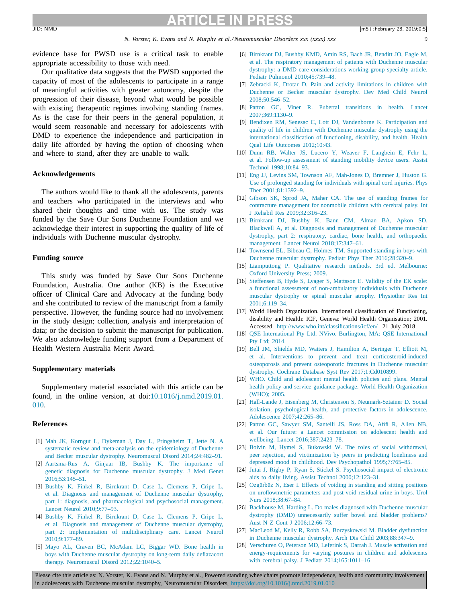*N. Vorster, K. Evans and N. Murphy et al./Neuromuscular Disorders xxx (xxxx) xxx* 9

<span id="page-8-0"></span>evidence base for PWSD use is a critical task to enable appropriate accessibility to those with need.

Our qualitative data suggests that the PWSD supported the capacity of most of the adolescents to participate in a range of meaningful activities with greater autonomy, despite the progression of their disease, beyond what would be possible with existing therapeutic regimes involving standing frames. As is the case for their peers in the general population, it would seem reasonable and necessary for adolescents with DMD to experience the independence and participation in daily life afforded by having the option of choosing when and where to stand, after they are unable to walk.

## **Acknowledgements**

The authors would like to thank all the adolescents, parents and teachers who participated in the interviews and who shared their thoughts and time with us. The study was funded by the Save Our Sons Duchenne Foundation and we acknowledge their interest in supporting the quality of life of individuals with Duchenne muscular dystrophy.

#### **Funding source**

This study was funded by Save Our Sons Duchenne Foundation, Australia. One author (KB) is the Executive officer of Clinical Care and Advocacy at the funding body and she contributed to review of the manuscript from a family perspective. However, the funding source had no involvement in the study design; collection, analysis and interpretation of data; or the decision to submit the manuscript for publication. We also acknowledge funding support from a Department of Health Western Australia Merit Award.

### **Supplementary materials**

Supplementary material associated with this article can be found, in the online version, at [doi:10.1016/j.nmd.2019.01.](https://doi.org/10.1016/j.nmd.2019.01.010) 010.

## **References**

- [1] [Mah](http://refhub.elsevier.com/S0960-8966(18)31024-1/sbref0001) JK, [Korngut](http://refhub.elsevier.com/S0960-8966(18)31024-1/sbref0001) L, [Dykeman](http://refhub.elsevier.com/S0960-8966(18)31024-1/sbref0001) J, [Day](http://refhub.elsevier.com/S0960-8966(18)31024-1/sbref0001) L, [Pringsheim](http://refhub.elsevier.com/S0960-8966(18)31024-1/sbref0001) T, [Jette](http://refhub.elsevier.com/S0960-8966(18)31024-1/sbref0001) N. A systematic review and meta-analysis on the epidemiology of Duchenne and Becker muscular dystrophy. Neuromuscul Disord [2014;24:482–91.](http://refhub.elsevier.com/S0960-8966(18)31024-1/sbref0001)
- [2] [Aartsma-Rus](http://refhub.elsevier.com/S0960-8966(18)31024-1/sbref0002) A, [Ginjaar](http://refhub.elsevier.com/S0960-8966(18)31024-1/sbref0002) IB, [Bushby](http://refhub.elsevier.com/S0960-8966(18)31024-1/sbref0002) K. The importance of genetic diagnosis for Duchenne muscular dystrophy. J Med Genet [2016;53:145–51.](http://refhub.elsevier.com/S0960-8966(18)31024-1/sbref0002)
- [3] [Bushby](http://refhub.elsevier.com/S0960-8966(18)31024-1/sbref0003) K, [Finkel](http://refhub.elsevier.com/S0960-8966(18)31024-1/sbref0003) R, [Birnkrant](http://refhub.elsevier.com/S0960-8966(18)31024-1/sbref0003) D, [Case](http://refhub.elsevier.com/S0960-8966(18)31024-1/sbref0003) L, [Clemens](http://refhub.elsevier.com/S0960-8966(18)31024-1/sbref0003) P, [Cripe](http://refhub.elsevier.com/S0960-8966(18)31024-1/sbref0003) L, et [al.](http://refhub.elsevier.com/S0960-8966(18)31024-1/sbref0003) Diagnosis and management of Duchenne muscular dystrophy, part 1: diagnosis, and [pharmacological](http://refhub.elsevier.com/S0960-8966(18)31024-1/sbref0003) and psychosocial management. Lancet Neurol 2010;9:77–93.
- [4] [Bushby](http://refhub.elsevier.com/S0960-8966(18)31024-1/sbref0004) K, [Finkel](http://refhub.elsevier.com/S0960-8966(18)31024-1/sbref0004) R, [Birnkrant](http://refhub.elsevier.com/S0960-8966(18)31024-1/sbref0004) D, [Case](http://refhub.elsevier.com/S0960-8966(18)31024-1/sbref0004) L, [Clemens](http://refhub.elsevier.com/S0960-8966(18)31024-1/sbref0004) P, [Cripe](http://refhub.elsevier.com/S0960-8966(18)31024-1/sbref0004) L, et [al.](http://refhub.elsevier.com/S0960-8966(18)31024-1/sbref0004) Diagnosis and management of Duchenne muscular dystrophy, part 2: implementation of [multidisciplinary](http://refhub.elsevier.com/S0960-8966(18)31024-1/sbref0004) care. Lancet Neurol 2010;9:177–89.
- [5] [Mayo](http://refhub.elsevier.com/S0960-8966(18)31024-1/sbref0005) AL, [Craven](http://refhub.elsevier.com/S0960-8966(18)31024-1/sbref0005) BC, [McAdam](http://refhub.elsevier.com/S0960-8966(18)31024-1/sbref0005) LC, [Biggar](http://refhub.elsevier.com/S0960-8966(18)31024-1/sbref0005) WD. Bone health in boys with Duchenne muscular dystrophy on long-term daily deflazacort therapy. Neuromuscul Disord [2012;22:1040–5.](http://refhub.elsevier.com/S0960-8966(18)31024-1/sbref0005)
- [6] [Birnkrant](http://refhub.elsevier.com/S0960-8966(18)31024-1/sbref0006) DJ, [Bushby](http://refhub.elsevier.com/S0960-8966(18)31024-1/sbref0006) KMD, [Amin](http://refhub.elsevier.com/S0960-8966(18)31024-1/sbref0006) RS, [Bach](http://refhub.elsevier.com/S0960-8966(18)31024-1/sbref0006) JR, [Benditt](http://refhub.elsevier.com/S0960-8966(18)31024-1/sbref0006) JO, [Eagle](http://refhub.elsevier.com/S0960-8966(18)31024-1/sbref0006) M, et [al.](http://refhub.elsevier.com/S0960-8966(18)31024-1/sbref0006) The respiratory management of patients with Duchenne muscular dystrophy: a DMD care considerations working group specialty article. Pediatr Pulmonol [2010;45:739–48.](http://refhub.elsevier.com/S0960-8966(18)31024-1/sbref0006)
- [7] [Zebracki](http://refhub.elsevier.com/S0960-8966(18)31024-1/sbref0007) K, [Drotar](http://refhub.elsevier.com/S0960-8966(18)31024-1/sbref0007) D. Pain and activity limitations in children with Duchenne or Becker muscular dystrophy. Dev Med Child Neurol [2008;50:546–52.](http://refhub.elsevier.com/S0960-8966(18)31024-1/sbref0007)
- [8] [Patton](http://refhub.elsevier.com/S0960-8966(18)31024-1/sbref0008) GC, [Viner](http://refhub.elsevier.com/S0960-8966(18)31024-1/sbref0008) R. Pubertal transitions in health. Lancet [2007;369:1130–9.](http://refhub.elsevier.com/S0960-8966(18)31024-1/sbref0008)
- [9] [Bendixen](http://refhub.elsevier.com/S0960-8966(18)31024-1/sbref0009) RM, [Senesac](http://refhub.elsevier.com/S0960-8966(18)31024-1/sbref0009) C, [Lott](http://refhub.elsevier.com/S0960-8966(18)31024-1/sbref0009) DJ, [Vandenborne](http://refhub.elsevier.com/S0960-8966(18)31024-1/sbref0009) K. Participation and quality of life in children with Duchenne muscular dystrophy using the international classification of functioning, disability, and health. Health Qual Life Outcomes 2012;10:43.
- [10] [Dunn](http://refhub.elsevier.com/S0960-8966(18)31024-1/sbref0010) RB, [Walter](http://refhub.elsevier.com/S0960-8966(18)31024-1/sbref0010) JS, [Lucero](http://refhub.elsevier.com/S0960-8966(18)31024-1/sbref0010) Y, [Weaver](http://refhub.elsevier.com/S0960-8966(18)31024-1/sbref0010) F, [Langbein](http://refhub.elsevier.com/S0960-8966(18)31024-1/sbref0010) E, [Fehr](http://refhub.elsevier.com/S0960-8966(18)31024-1/sbref0010) L, et [al.](http://refhub.elsevier.com/S0960-8966(18)31024-1/sbref0010) Follow-up assessment of standing mobility device users. Assist Technol [1998;10:84–93.](http://refhub.elsevier.com/S0960-8966(18)31024-1/sbref0010)
- [11] [Eng](http://refhub.elsevier.com/S0960-8966(18)31024-1/sbref0011) JJ, [Levins](http://refhub.elsevier.com/S0960-8966(18)31024-1/sbref0011) SM, [Townson](http://refhub.elsevier.com/S0960-8966(18)31024-1/sbref0011) AF, [Mah-Jones](http://refhub.elsevier.com/S0960-8966(18)31024-1/sbref0011) D, [Bremner](http://refhub.elsevier.com/S0960-8966(18)31024-1/sbref0011) J, [Huston](http://refhub.elsevier.com/S0960-8966(18)31024-1/sbref0011) G. Use of prolonged standing for individuals with spinal cord injuries. Phys Ther [2001;81:1392–9.](http://refhub.elsevier.com/S0960-8966(18)31024-1/sbref0011)
- [12] [Gibson](http://refhub.elsevier.com/S0960-8966(18)31024-1/sbref0012) SK, [Sprod](http://refhub.elsevier.com/S0960-8966(18)31024-1/sbref0012) JA, [Maher](http://refhub.elsevier.com/S0960-8966(18)31024-1/sbref0012) CA. The use of standing frames for contracture management for nonmobile children with cerebral palsy. Int J Rehabil Res [2009;32:316–23.](http://refhub.elsevier.com/S0960-8966(18)31024-1/sbref0012)
- [13] [Birnkrant](http://refhub.elsevier.com/S0960-8966(18)31024-1/sbref0013) DJ, [Bushby](http://refhub.elsevier.com/S0960-8966(18)31024-1/sbref0013) K, [Bann](http://refhub.elsevier.com/S0960-8966(18)31024-1/sbref0013) CM, [Alman](http://refhub.elsevier.com/S0960-8966(18)31024-1/sbref0013) BA, [Apkon](http://refhub.elsevier.com/S0960-8966(18)31024-1/sbref0013) SD, [Blackwell](http://refhub.elsevier.com/S0960-8966(18)31024-1/sbref0013) A, et [al.](http://refhub.elsevier.com/S0960-8966(18)31024-1/sbref0013) Diagnosis and management of Duchenne muscular dystrophy, part 2: respiratory, cardiac, bone health, and orthopaedic management. Lancet Neurol [2018;17:347–61.](http://refhub.elsevier.com/S0960-8966(18)31024-1/sbref0013)
- [14] [Townsend](http://refhub.elsevier.com/S0960-8966(18)31024-1/sbref0014) EL, [Bibeau](http://refhub.elsevier.com/S0960-8966(18)31024-1/sbref0014) C, [Holmes](http://refhub.elsevier.com/S0960-8966(18)31024-1/sbref0014) TM. Supported standing in boys with Duchenne muscular dystrophy. Pediatr Phys Ther [2016;28:320–9.](http://refhub.elsevier.com/S0960-8966(18)31024-1/sbref0014)
- [15] [Liamputtong](http://refhub.elsevier.com/S0960-8966(18)31024-1/sbref0015) P. Qualitative research methods. 3rd ed. Melbourne: Oxford University Press; 2009.
- [16] [Steffensen](http://refhub.elsevier.com/S0960-8966(18)31024-1/sbref0016) B, [Hyde](http://refhub.elsevier.com/S0960-8966(18)31024-1/sbref0016) S, [Lyager](http://refhub.elsevier.com/S0960-8966(18)31024-1/sbref0016) S, [Mattsson](http://refhub.elsevier.com/S0960-8966(18)31024-1/sbref0016) E. Validity of the EK scale: a functional assessment of [non-ambulatory](http://refhub.elsevier.com/S0960-8966(18)31024-1/sbref0016) individuals with Duchenne muscular dystrophy or spinal muscular atrophy. Physiother Res Int 2001;6:119–34.
- [17] World Health Organization. International classification of Functioning, disability and Health: ICF, Geneva: World Health Organisation; 2001. Accessed <http://www.who.int/classifications/icf/en/> 21 July 2018.
- [18] QSE [International](http://refhub.elsevier.com/S0960-8966(18)31024-1/sbref0018) Pty Ltd. NVivo. Burlington, MA: QSE International Pty Ltd; 2014.
- [19] [Bell](http://refhub.elsevier.com/S0960-8966(18)31024-1/sbref0019) JM, [Shields](http://refhub.elsevier.com/S0960-8966(18)31024-1/sbref0019) MD, [Watters](http://refhub.elsevier.com/S0960-8966(18)31024-1/sbref0019) J, [Hamilton](http://refhub.elsevier.com/S0960-8966(18)31024-1/sbref0019) A, [Beringer](http://refhub.elsevier.com/S0960-8966(18)31024-1/sbref0019) T, [Elliott](http://refhub.elsevier.com/S0960-8966(18)31024-1/sbref0019) M, et [al.](http://refhub.elsevier.com/S0960-8966(18)31024-1/sbref0019) Interventions to prevent and treat [corticosteroid-induced](http://refhub.elsevier.com/S0960-8966(18)31024-1/sbref0019) osteoporosis and prevent osteoporotic fractures in Duchenne muscular dystrophy. Cochrane Database Syst Rev 2017;1:Cd010899.
- [20] WHO. Child and adolescent mental health policies and plans. Mental health policy and service guidance package. World Health [Organization](http://refhub.elsevier.com/S0960-8966(18)31024-1/sbref0020) (WHO); 2005.
- [21] [Hall-Lande](http://refhub.elsevier.com/S0960-8966(18)31024-1/sbref0021) J, [Eisenberg](http://refhub.elsevier.com/S0960-8966(18)31024-1/sbref0021) M, [Christenson](http://refhub.elsevier.com/S0960-8966(18)31024-1/sbref0021) S, [Neumark-Sztainer](http://refhub.elsevier.com/S0960-8966(18)31024-1/sbref0021) D. Social isolation, psychological health, and protective factors in adolescence. Adolescence 2007;42:265–86.
- [22] [Patton](http://refhub.elsevier.com/S0960-8966(18)31024-1/sbref0022) GC, [Sawyer](http://refhub.elsevier.com/S0960-8966(18)31024-1/sbref0022) SM, [Santelli](http://refhub.elsevier.com/S0960-8966(18)31024-1/sbref0022) JS, [Ross](http://refhub.elsevier.com/S0960-8966(18)31024-1/sbref0022) DA, [Afifi R,](http://refhub.elsevier.com/S0960-8966(18)31024-1/sbref0022) [Allen](http://refhub.elsevier.com/S0960-8966(18)31024-1/sbref0022) NB, et [al.](http://refhub.elsevier.com/S0960-8966(18)31024-1/sbref0022) Our future: a Lancet commission on adolescent health and wellbeing. Lancet [2016;387:2423–78.](http://refhub.elsevier.com/S0960-8966(18)31024-1/sbref0022)
- [23] [Boivin](http://refhub.elsevier.com/S0960-8966(18)31024-1/sbref0023) M, [Hymel](http://refhub.elsevier.com/S0960-8966(18)31024-1/sbref0023) S, [Bukowski](http://refhub.elsevier.com/S0960-8966(18)31024-1/sbref0023) W. The roles of social withdrawal, peer rejection, and victimization by peers in predicting loneliness and depressed mood in childhood. Dev Psychopathol [1995;7:765–85.](http://refhub.elsevier.com/S0960-8966(18)31024-1/sbref0023)
- [24] [Jutai](http://refhub.elsevier.com/S0960-8966(18)31024-1/sbref0024) J, [Rigby](http://refhub.elsevier.com/S0960-8966(18)31024-1/sbref0024) P, [Ryan](http://refhub.elsevier.com/S0960-8966(18)31024-1/sbref0024) S, [Stickel](http://refhub.elsevier.com/S0960-8966(18)31024-1/sbref0024) S. Psychosocial impact of electronic aids to daily living. Assist Technol [2000;12:123–31.](http://refhub.elsevier.com/S0960-8966(18)31024-1/sbref0024)
- [25] [Özgürbüz](http://refhub.elsevier.com/S0960-8966(18)31024-1/sbref0025) N, [Eser](http://refhub.elsevier.com/S0960-8966(18)31024-1/sbref0025) I. Effects of voiding in standing and sitting positions on uroflowmetric parameters and post-void residual urine in boys. Urol Nurs [2018;38:67–84.](http://refhub.elsevier.com/S0960-8966(18)31024-1/sbref0025)
- [26] [Backhouse](http://refhub.elsevier.com/S0960-8966(18)31024-1/sbref0026) M, [Harding](http://refhub.elsevier.com/S0960-8966(18)31024-1/sbref0026) L. Do males diagnosed with Duchenne muscular dystrophy (DMD) unnecessarily suffer bowel and bladder problems? Aust N Z Cont J [2006;12:66–73.](http://refhub.elsevier.com/S0960-8966(18)31024-1/sbref0026)
- [27] [MacLeod](http://refhub.elsevier.com/S0960-8966(18)31024-1/sbref0027) M, [Kelly](http://refhub.elsevier.com/S0960-8966(18)31024-1/sbref0027) R, [Robb](http://refhub.elsevier.com/S0960-8966(18)31024-1/sbref0027) SA, [Borzyskowski](http://refhub.elsevier.com/S0960-8966(18)31024-1/sbref0027) M. Bladder dysfunction in Duchenne muscular dystrophy. Arch Dis Child [2003;88:347–9.](http://refhub.elsevier.com/S0960-8966(18)31024-1/sbref0027)
- [28] [Verschuren](http://refhub.elsevier.com/S0960-8966(18)31024-1/sbref0028) O, [Peterson](http://refhub.elsevier.com/S0960-8966(18)31024-1/sbref0028) MD, [Leferink](http://refhub.elsevier.com/S0960-8966(18)31024-1/sbref0028) S, [Darrah](http://refhub.elsevier.com/S0960-8966(18)31024-1/sbref0028) J. Muscle activation and [energy-requirements](http://refhub.elsevier.com/S0960-8966(18)31024-1/sbref0028) for varying postures in children and adolescents with cerebral palsy. J Pediatr 2014;165:1011–16.